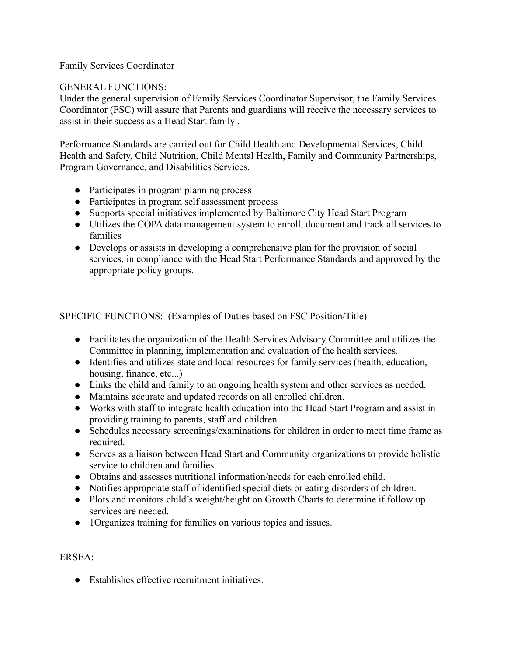## Family Services Coordinator

## GENERAL FUNCTIONS:

Under the general supervision of Family Services Coordinator Supervisor, the Family Services Coordinator (FSC) will assure that Parents and guardians will receive the necessary services to assist in their success as a Head Start family .

Performance Standards are carried out for Child Health and Developmental Services, Child Health and Safety, Child Nutrition, Child Mental Health, Family and Community Partnerships, Program Governance, and Disabilities Services.

- Participates in program planning process
- Participates in program self assessment process
- Supports special initiatives implemented by Baltimore City Head Start Program
- Utilizes the COPA data management system to enroll, document and track all services to families
- Develops or assists in developing a comprehensive plan for the provision of social services, in compliance with the Head Start Performance Standards and approved by the appropriate policy groups.

SPECIFIC FUNCTIONS: (Examples of Duties based on FSC Position/Title)

- Facilitates the organization of the Health Services Advisory Committee and utilizes the Committee in planning, implementation and evaluation of the health services.
- Identifies and utilizes state and local resources for family services (health, education, housing, finance, etc...)
- Links the child and family to an ongoing health system and other services as needed.
- Maintains accurate and updated records on all enrolled children.
- Works with staff to integrate health education into the Head Start Program and assist in providing training to parents, staff and children.
- Schedules necessary screenings/examinations for children in order to meet time frame as required.
- Serves as a liaison between Head Start and Community organizations to provide holistic service to children and families.
- Obtains and assesses nutritional information/needs for each enrolled child.
- Notifies appropriate staff of identified special diets or eating disorders of children.
- Plots and monitors child's weight/height on Growth Charts to determine if follow up services are needed.
- 1Organizes training for families on various topics and issues.

## ERSEA:

● Establishes effective recruitment initiatives.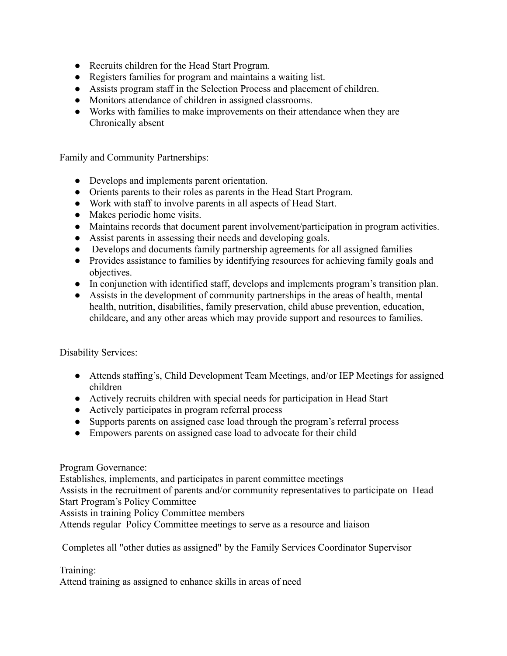- Recruits children for the Head Start Program.
- Registers families for program and maintains a waiting list.
- Assists program staff in the Selection Process and placement of children.
- Monitors attendance of children in assigned classrooms.
- Works with families to make improvements on their attendance when they are Chronically absent

Family and Community Partnerships:

- Develops and implements parent orientation.
- Orients parents to their roles as parents in the Head Start Program.
- Work with staff to involve parents in all aspects of Head Start.
- Makes periodic home visits.
- Maintains records that document parent involvement/participation in program activities.
- Assist parents in assessing their needs and developing goals.
- Develops and documents family partnership agreements for all assigned families
- Provides assistance to families by identifying resources for achieving family goals and objectives.
- In conjunction with identified staff, develops and implements program's transition plan.
- Assists in the development of community partnerships in the areas of health, mental health, nutrition, disabilities, family preservation, child abuse prevention, education, childcare, and any other areas which may provide support and resources to families.

Disability Services:

- Attends staffing's, Child Development Team Meetings, and/or IEP Meetings for assigned children
- Actively recruits children with special needs for participation in Head Start
- Actively participates in program referral process
- Supports parents on assigned case load through the program's referral process
- Empowers parents on assigned case load to advocate for their child

Program Governance:

Establishes, implements, and participates in parent committee meetings

Assists in the recruitment of parents and/or community representatives to participate on Head Start Program's Policy Committee

Assists in training Policy Committee members

Attends regular Policy Committee meetings to serve as a resource and liaison

Completes all "other duties as assigned" by the Family Services Coordinator Supervisor

Training:

Attend training as assigned to enhance skills in areas of need